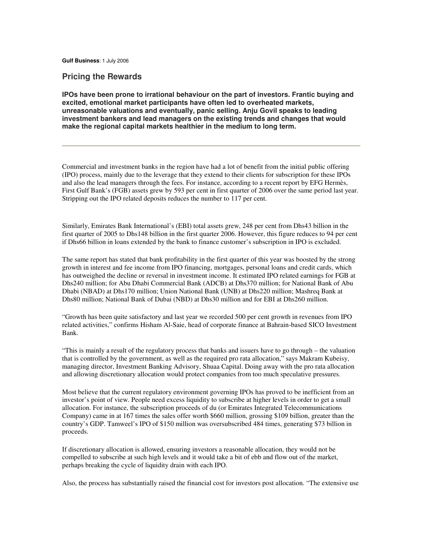**Gulf Business**: 1 July 2006

# **Pricing the Rewards**

**IPOs have been prone to irrational behaviour on the part of investors. Frantic buying and excited, emotional market participants have often led to overheated markets, unreasonable valuations and eventually, panic selling. Anju Govil speaks to leading investment bankers and lead managers on the existing trends and changes that would make the regional capital markets healthier in the medium to long term.** 

Commercial and investment banks in the region have had a lot of benefit from the initial public offering (IPO) process, mainly due to the leverage that they extend to their clients for subscription for these IPOs and also the lead managers through the fees. For instance, according to a recent report by EFG Hermès, First Gulf Bank's (FGB) assets grew by 593 per cent in first quarter of 2006 over the same period last year. Stripping out the IPO related deposits reduces the number to 117 per cent.

Similarly, Emirates Bank International's (EBI) total assets grew, 248 per cent from Dhs43 billion in the first quarter of 2005 to Dhs148 billion in the first quarter 2006. However, this figure reduces to 94 per cent if Dhs66 billion in loans extended by the bank to finance customer's subscription in IPO is excluded.

The same report has stated that bank profitability in the first quarter of this year was boosted by the strong growth in interest and fee income from IPO financing, mortgages, personal loans and credit cards, which has outweighed the decline or reversal in investment income. It estimated IPO related earnings for FGB at Dhs240 million; for Abu Dhabi Commercial Bank (ADCB) at Dhs370 million; for National Bank of Abu Dhabi (NBAD) at Dhs170 million; Union National Bank (UNB) at Dhs220 million; Mashreq Bank at Dhs80 million; National Bank of Dubai (NBD) at Dhs30 million and for EBI at Dhs260 million.

"Growth has been quite satisfactory and last year we recorded 500 per cent growth in revenues from IPO related activities," confirms Hisham Al-Saie, head of corporate finance at Bahrain-based SICO Investment Bank.

"This is mainly a result of the regulatory process that banks and issuers have to go through – the valuation that is controlled by the government, as well as the required pro rata allocation," says Makram Kubeisy, managing director, Investment Banking Advisory, Shuaa Capital. Doing away with the pro rata allocation and allowing discretionary allocation would protect companies from too much speculative pressures.

Most believe that the current regulatory environment governing IPOs has proved to be inefficient from an investor's point of view. People need excess liquidity to subscribe at higher levels in order to get a small allocation. For instance, the subscription proceeds of du (or Emirates Integrated Telecommunications Company) came in at 167 times the sales offer worth \$660 million, grossing \$109 billion, greater than the country's GDP. Tamweel's IPO of \$150 million was oversubscribed 484 times, generating \$73 billion in proceeds.

If discretionary allocation is allowed, ensuring investors a reasonable allocation, they would not be compelled to subscribe at such high levels and it would take a bit of ebb and flow out of the market, perhaps breaking the cycle of liquidity drain with each IPO.

Also, the process has substantially raised the financial cost for investors post allocation. "The extensive use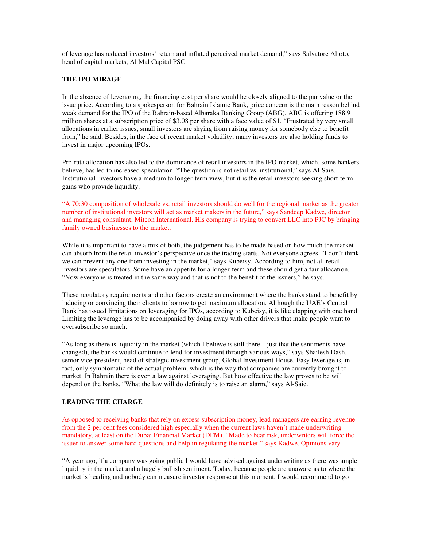of leverage has reduced investors' return and inflated perceived market demand," says Salvatore Alioto, head of capital markets, Al Mal Capital PSC.

#### **THE IPO MIRAGE**

In the absence of leveraging, the financing cost per share would be closely aligned to the par value or the issue price. According to a spokesperson for Bahrain Islamic Bank, price concern is the main reason behind weak demand for the IPO of the Bahrain-based Albaraka Banking Group (ABG). ABG is offering 188.9 million shares at a subscription price of \$3.08 per share with a face value of \$1. "Frustrated by very small allocations in earlier issues, small investors are shying from raising money for somebody else to benefit from," he said. Besides, in the face of recent market volatility, many investors are also holding funds to invest in major upcoming IPOs.

Pro-rata allocation has also led to the dominance of retail investors in the IPO market, which, some bankers believe, has led to increased speculation. "The question is not retail vs. institutional," says Al-Saie. Institutional investors have a medium to longer-term view, but it is the retail investors seeking short-term gains who provide liquidity.

"A 70:30 composition of wholesale vs. retail investors should do well for the regional market as the greater number of institutional investors will act as market makers in the future," says Sandeep Kadwe, director and managing consultant, Mitcon International. His company is trying to convert LLC into PJC by bringing family owned businesses to the market.

While it is important to have a mix of both, the judgement has to be made based on how much the market can absorb from the retail investor's perspective once the trading starts. Not everyone agrees. "I don't think we can prevent any one from investing in the market," says Kubeisy. According to him, not all retail investors are speculators. Some have an appetite for a longer-term and these should get a fair allocation. "Now everyone is treated in the same way and that is not to the benefit of the issuers," he says.

These regulatory requirements and other factors create an environment where the banks stand to benefit by inducing or convincing their clients to borrow to get maximum allocation. Although the UAE's Central Bank has issued limitations on leveraging for IPOs, according to Kubeisy, it is like clapping with one hand. Limiting the leverage has to be accompanied by doing away with other drivers that make people want to oversubscribe so much.

"As long as there is liquidity in the market (which I believe is still there – just that the sentiments have changed), the banks would continue to lend for investment through various ways," says Shailesh Dash, senior vice-president, head of strategic investment group, Global Investment House. Easy leverage is, in fact, only symptomatic of the actual problem, which is the way that companies are currently brought to market. In Bahrain there is even a law against leveraging. But how effective the law proves to be will depend on the banks. "What the law will do definitely is to raise an alarm," says Al-Saie.

#### **LEADING THE CHARGE**

As opposed to receiving banks that rely on excess subscription money, lead managers are earning revenue from the 2 per cent fees considered high especially when the current laws haven't made underwriting mandatory, at least on the Dubai Financial Market (DFM). "Made to bear risk, underwriters will force the issuer to answer some hard questions and help in regulating the market," says Kadwe. Opinions vary.

"A year ago, if a company was going public I would have advised against underwriting as there was ample liquidity in the market and a hugely bullish sentiment. Today, because people are unaware as to where the market is heading and nobody can measure investor response at this moment, I would recommend to go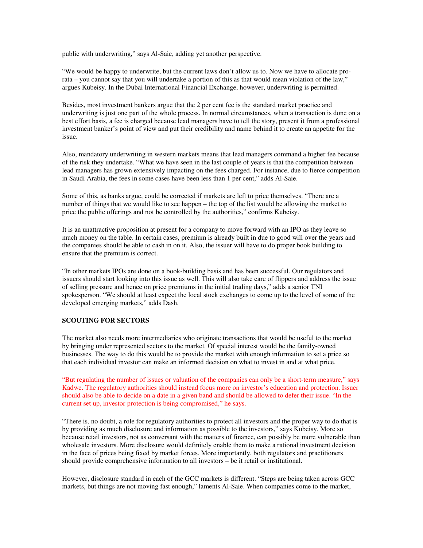public with underwriting," says Al-Saie, adding yet another perspective.

"We would be happy to underwrite, but the current laws don't allow us to. Now we have to allocate prorata – you cannot say that you will undertake a portion of this as that would mean violation of the law," argues Kubeisy. In the Dubai International Financial Exchange, however, underwriting is permitted.

Besides, most investment bankers argue that the 2 per cent fee is the standard market practice and underwriting is just one part of the whole process. In normal circumstances, when a transaction is done on a best effort basis, a fee is charged because lead managers have to tell the story, present it from a professional investment banker's point of view and put their credibility and name behind it to create an appetite for the issue.

Also, mandatory underwriting in western markets means that lead managers command a higher fee because of the risk they undertake. "What we have seen in the last couple of years is that the competition between lead managers has grown extensively impacting on the fees charged. For instance, due to fierce competition in Saudi Arabia, the fees in some cases have been less than 1 per cent," adds Al-Saie.

Some of this, as banks argue, could be corrected if markets are left to price themselves. "There are a number of things that we would like to see happen – the top of the list would be allowing the market to price the public offerings and not be controlled by the authorities," confirms Kubeisy.

It is an unattractive proposition at present for a company to move forward with an IPO as they leave so much money on the table. In certain cases, premium is already built in due to good will over the years and the companies should be able to cash in on it. Also, the issuer will have to do proper book building to ensure that the premium is correct.

"In other markets IPOs are done on a book-building basis and has been successful. Our regulators and issuers should start looking into this issue as well. This will also take care of flippers and address the issue of selling pressure and hence on price premiums in the initial trading days," adds a senior TNI spokesperson. "We should at least expect the local stock exchanges to come up to the level of some of the developed emerging markets," adds Dash.

## **SCOUTING FOR SECTORS**

The market also needs more intermediaries who originate transactions that would be useful to the market by bringing under represented sectors to the market. Of special interest would be the family-owned businesses. The way to do this would be to provide the market with enough information to set a price so that each individual investor can make an informed decision on what to invest in and at what price.

"But regulating the number of issues or valuation of the companies can only be a short-term measure," says Kadwe. The regulatory authorities should instead focus more on investor's education and protection. Issuer should also be able to decide on a date in a given band and should be allowed to defer their issue. "In the current set up, investor protection is being compromised," he says.

"There is, no doubt, a role for regulatory authorities to protect all investors and the proper way to do that is by providing as much disclosure and information as possible to the investors," says Kubeisy. More so because retail investors, not as conversant with the matters of finance, can possibly be more vulnerable than wholesale investors. More disclosure would definitely enable them to make a rational investment decision in the face of prices being fixed by market forces. More importantly, both regulators and practitioners should provide comprehensive information to all investors – be it retail or institutional.

However, disclosure standard in each of the GCC markets is different. "Steps are being taken across GCC markets, but things are not moving fast enough," laments Al-Saie. When companies come to the market,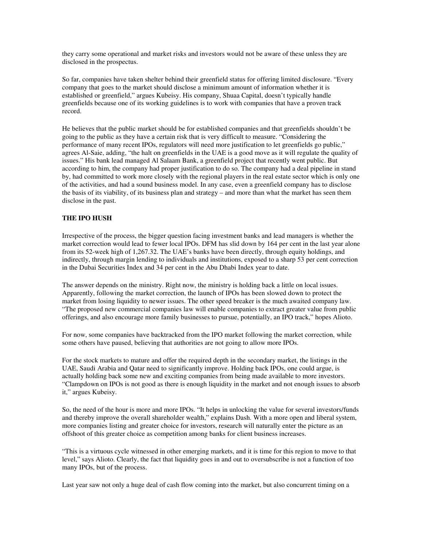they carry some operational and market risks and investors would not be aware of these unless they are disclosed in the prospectus.

So far, companies have taken shelter behind their greenfield status for offering limited disclosure. "Every company that goes to the market should disclose a minimum amount of information whether it is established or greenfield," argues Kubeisy. His company, Shuaa Capital, doesn't typically handle greenfields because one of its working guidelines is to work with companies that have a proven track record.

He believes that the public market should be for established companies and that greenfields shouldn't be going to the public as they have a certain risk that is very difficult to measure. "Considering the performance of many recent IPOs, regulators will need more justification to let greenfields go public," agrees Al-Saie, adding, "the halt on greenfields in the UAE is a good move as it will regulate the quality of issues." His bank lead managed Al Salaam Bank, a greenfield project that recently went public. But according to him, the company had proper justification to do so. The company had a deal pipeline in stand by, had committed to work more closely with the regional players in the real estate sector which is only one of the activities, and had a sound business model. In any case, even a greenfield company has to disclose the basis of its viability, of its business plan and strategy – and more than what the market has seen them disclose in the past.

#### **THE IPO HUSH**

Irrespective of the process, the bigger question facing investment banks and lead managers is whether the market correction would lead to fewer local IPOs. DFM has slid down by 164 per cent in the last year alone from its 52-week high of 1,267.32. The UAE's banks have been directly, through equity holdings, and indirectly, through margin lending to individuals and institutions, exposed to a sharp 53 per cent correction in the Dubai Securities Index and 34 per cent in the Abu Dhabi Index year to date.

The answer depends on the ministry. Right now, the ministry is holding back a little on local issues. Apparently, following the market correction, the launch of IPOs has been slowed down to protect the market from losing liquidity to newer issues. The other speed breaker is the much awaited company law. "The proposed new commercial companies law will enable companies to extract greater value from public offerings, and also encourage more family businesses to pursue, potentially, an IPO track," hopes Alioto.

For now, some companies have backtracked from the IPO market following the market correction, while some others have paused, believing that authorities are not going to allow more IPOs.

For the stock markets to mature and offer the required depth in the secondary market, the listings in the UAE, Saudi Arabia and Qatar need to significantly improve. Holding back IPOs, one could argue, is actually holding back some new and exciting companies from being made available to more investors. "Clampdown on IPOs is not good as there is enough liquidity in the market and not enough issues to absorb it," argues Kubeisy.

So, the need of the hour is more and more IPOs. "It helps in unlocking the value for several investors/funds and thereby improve the overall shareholder wealth," explains Dash. With a more open and liberal system, more companies listing and greater choice for investors, research will naturally enter the picture as an offshoot of this greater choice as competition among banks for client business increases.

"This is a virtuous cycle witnessed in other emerging markets, and it is time for this region to move to that level," says Alioto. Clearly, the fact that liquidity goes in and out to oversubscribe is not a function of too many IPOs, but of the process.

Last year saw not only a huge deal of cash flow coming into the market, but also concurrent timing on a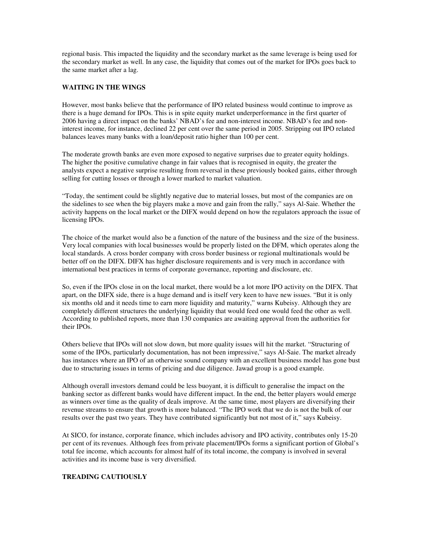regional basis. This impacted the liquidity and the secondary market as the same leverage is being used for the secondary market as well. In any case, the liquidity that comes out of the market for IPOs goes back to the same market after a lag.

# **WAITING IN THE WINGS**

However, most banks believe that the performance of IPO related business would continue to improve as there is a huge demand for IPOs. This is in spite equity market underperformance in the first quarter of 2006 having a direct impact on the banks' NBAD's fee and non-interest income. NBAD's fee and noninterest income, for instance, declined 22 per cent over the same period in 2005. Stripping out IPO related balances leaves many banks with a loan/deposit ratio higher than 100 per cent.

The moderate growth banks are even more exposed to negative surprises due to greater equity holdings. The higher the positive cumulative change in fair values that is recognised in equity, the greater the analysts expect a negative surprise resulting from reversal in these previously booked gains, either through selling for cutting losses or through a lower marked to market valuation.

"Today, the sentiment could be slightly negative due to material losses, but most of the companies are on the sidelines to see when the big players make a move and gain from the rally," says Al-Saie. Whether the activity happens on the local market or the DIFX would depend on how the regulators approach the issue of licensing IPOs.

The choice of the market would also be a function of the nature of the business and the size of the business. Very local companies with local businesses would be properly listed on the DFM, which operates along the local standards. A cross border company with cross border business or regional multinationals would be better off on the DIFX. DIFX has higher disclosure requirements and is very much in accordance with international best practices in terms of corporate governance, reporting and disclosure, etc.

So, even if the IPOs close in on the local market, there would be a lot more IPO activity on the DIFX. That apart, on the DIFX side, there is a huge demand and is itself very keen to have new issues. "But it is only six months old and it needs time to earn more liquidity and maturity," warns Kubeisy. Although they are completely different structures the underlying liquidity that would feed one would feed the other as well. According to published reports, more than 130 companies are awaiting approval from the authorities for their IPOs.

Others believe that IPOs will not slow down, but more quality issues will hit the market. "Structuring of some of the IPOs, particularly documentation, has not been impressive," says Al-Saie. The market already has instances where an IPO of an otherwise sound company with an excellent business model has gone bust due to structuring issues in terms of pricing and due diligence. Jawad group is a good example.

Although overall investors demand could be less buoyant, it is difficult to generalise the impact on the banking sector as different banks would have different impact. In the end, the better players would emerge as winners over time as the quality of deals improve. At the same time, most players are diversifying their revenue streams to ensure that growth is more balanced. "The IPO work that we do is not the bulk of our results over the past two years. They have contributed significantly but not most of it," says Kubeisy.

At SICO, for instance, corporate finance, which includes advisory and IPO activity, contributes only 15-20 per cent of its revenues. Although fees from private placement/IPOs forms a significant portion of Global's total fee income, which accounts for almost half of its total income, the company is involved in several activities and its income base is very diversified.

### **TREADING CAUTIOUSLY**